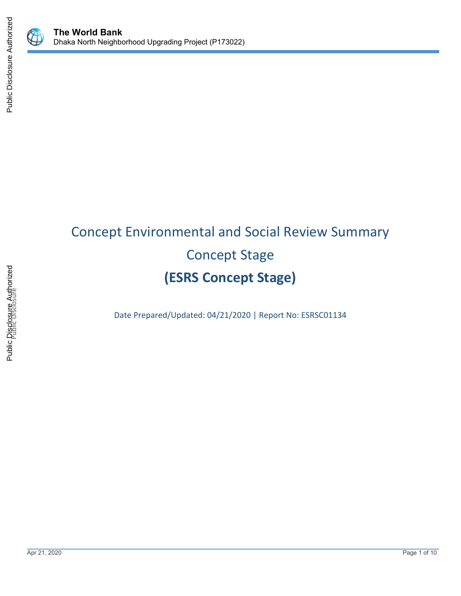



# Concept Environmental and Social Review Summary Concept Stage **(ESRS Concept Stage)**

Date Prepared/Updated: 04/21/2020 | Report No: ESRSC01134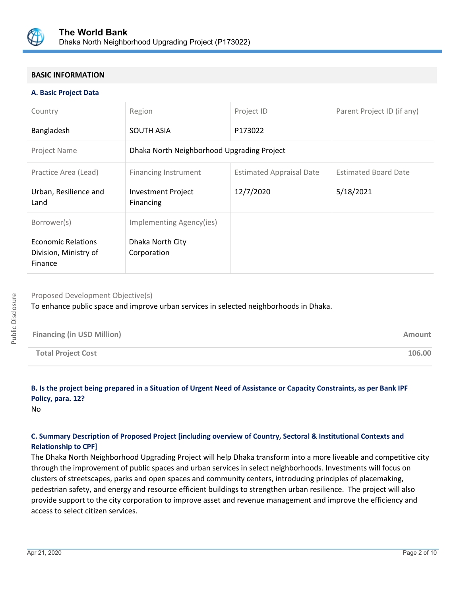

# **BASIC INFORMATION**

#### **A. Basic Project Data**

| Country                                                       | Region                                     | Project ID                      | Parent Project ID (if any)  |  |
|---------------------------------------------------------------|--------------------------------------------|---------------------------------|-----------------------------|--|
| Bangladesh                                                    | <b>SOUTH ASIA</b>                          | P173022                         |                             |  |
| Project Name                                                  | Dhaka North Neighborhood Upgrading Project |                                 |                             |  |
| Practice Area (Lead)                                          | <b>Financing Instrument</b>                | <b>Estimated Appraisal Date</b> | <b>Estimated Board Date</b> |  |
| Urban, Resilience and<br>Land                                 | <b>Investment Project</b><br>Financing     | 12/7/2020                       | 5/18/2021                   |  |
| Borrower(s)                                                   | Implementing Agency(ies)                   |                                 |                             |  |
| <b>Economic Relations</b><br>Division, Ministry of<br>Finance | Dhaka North City<br>Corporation            |                                 |                             |  |

# Proposed Development Objective(s)

To enhance public space and improve urban services in selected neighborhoods in Dhaka.

| <b>Financing (in USD Million)</b> | <b>Amount</b> |
|-----------------------------------|---------------|
| <b>Total Project Cost</b>         | 106.00        |

# **B. Is the project being prepared in a Situation of Urgent Need of Assistance or Capacity Constraints, as per Bank IPF Policy, para. 12?**

No

# **C. Summary Description of Proposed Project [including overview of Country, Sectoral & Institutional Contexts and Relationship to CPF]**

The Dhaka North Neighborhood Upgrading Project will help Dhaka transform into a more liveable and competitive city through the improvement of public spaces and urban services in select neighborhoods. Investments will focus on clusters of streetscapes, parks and open spaces and community centers, introducing principles of placemaking, pedestrian safety, and energy and resource efficient buildings to strengthen urban resilience. The project will also provide support to the city corporation to improve asset and revenue management and improve the efficiency and access to select citizen services.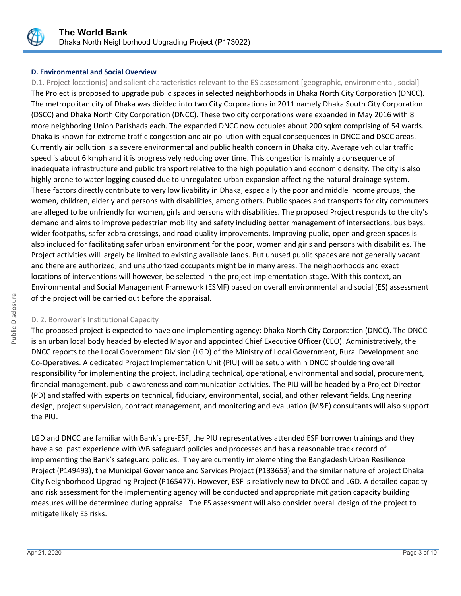

# **D. Environmental and Social Overview**

D.1. Project location(s) and salient characteristics relevant to the ES assessment [geographic, environmental, social] The Project is proposed to upgrade public spaces in selected neighborhoods in Dhaka North City Corporation (DNCC). The metropolitan city of Dhaka was divided into two City Corporations in 2011 namely Dhaka South City Corporation (DSCC) and Dhaka North City Corporation (DNCC). These two city corporations were expanded in May 2016 with 8 more neighboring Union Parishads each. The expanded DNCC now occupies about 200 sqkm comprising of 54 wards. Dhaka is known for extreme traffic congestion and air pollution with equal consequences in DNCC and DSCC areas. Currently air pollution is a severe environmental and public health concern in Dhaka city. Average vehicular traffic speed is about 6 kmph and it is progressively reducing over time. This congestion is mainly a consequence of inadequate infrastructure and public transport relative to the high population and economic density. The city is also highly prone to water logging caused due to unregulated urban expansion affecting the natural drainage system. These factors directly contribute to very low livability in Dhaka, especially the poor and middle income groups, the women, children, elderly and persons with disabilities, among others. Public spaces and transports for city commuters are alleged to be unfriendly for women, girls and persons with disabilities. The proposed Project responds to the city's demand and aims to improve pedestrian mobility and safety including better management of intersections, bus bays, wider footpaths, safer zebra crossings, and road quality improvements. Improving public, open and green spaces is also included for facilitating safer urban environment for the poor, women and girls and persons with disabilities. The Project activities will largely be limited to existing available lands. But unused public spaces are not generally vacant and there are authorized, and unauthorized occupants might be in many areas. The neighborhoods and exact locations of interventions will however, be selected in the project implementation stage. With this context, an Environmental and Social Management Framework (ESMF) based on overall environmental and social (ES) assessment of the project will be carried out before the appraisal.

#### D. 2. Borrower's Institutional Capacity

The proposed project is expected to have one implementing agency: Dhaka North City Corporation (DNCC). The DNCC is an urban local body headed by elected Mayor and appointed Chief Executive Officer (CEO). Administratively, the DNCC reports to the Local Government Division (LGD) of the Ministry of Local Government, Rural Development and Co-Operatives. A dedicated Project Implementation Unit (PIU) will be setup within DNCC shouldering overall responsibility for implementing the project, including technical, operational, environmental and social, procurement, financial management, public awareness and communication activities. The PIU will be headed by a Project Director (PD) and staffed with experts on technical, fiduciary, environmental, social, and other relevant fields. Engineering design, project supervision, contract management, and monitoring and evaluation (M&E) consultants will also support the PIU.

LGD and DNCC are familiar with Bank's pre-ESF, the PIU representatives attended ESF borrower trainings and they have also past experience with WB safeguard policies and processes and has a reasonable track record of implementing the Bank's safeguard policies. They are currently implementing the Bangladesh Urban Resilience Project (P149493), the Municipal Governance and Services Project (P133653) and the similar nature of project Dhaka City Neighborhood Upgrading Project (P165477). However, ESF is relatively new to DNCC and LGD. A detailed capacity and risk assessment for the implementing agency will be conducted and appropriate mitigation capacity building measures will be determined during appraisal. The ES assessment will also consider overall design of the project to mitigate likely ES risks.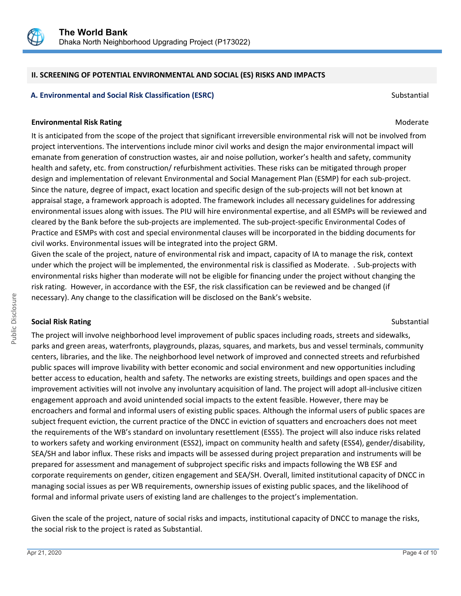

# **II. SCREENING OF POTENTIAL ENVIRONMENTAL AND SOCIAL (ES) RISKS AND IMPACTS**

# **A. Environmental and Social Risk Classification (ESRC) Substantial Substantial Substantial Substantial Substantial**

#### **Environmental Risk Rating Moderate School School School School School School School School School School School School School School School School School School School School School School School School School School Scho**

It is anticipated from the scope of the project that significant irreversible environmental risk will not be involved from project interventions. The interventions include minor civil works and design the major environmental impact will emanate from generation of construction wastes, air and noise pollution, worker's health and safety, community health and safety, etc. from construction/ refurbishment activities. These risks can be mitigated through proper design and implementation of relevant Environmental and Social Management Plan (ESMP) for each sub-project. Since the nature, degree of impact, exact location and specific design of the sub-projects will not bet known at appraisal stage, a framework approach is adopted. The framework includes all necessary guidelines for addressing environmental issues along with issues. The PIU will hire environmental expertise, and all ESMPs will be reviewed and cleared by the Bank before the sub-projects are implemented. The sub-project-specific Environmental Codes of Practice and ESMPs with cost and special environmental clauses will be incorporated in the bidding documents for civil works. Environmental issues will be integrated into the project GRM.

Given the scale of the project, nature of environmental risk and impact, capacity of IA to manage the risk, context under which the project will be implemented, the environmental risk is classified as Moderate. . Sub-projects with environmental risks higher than moderate will not be eligible for financing under the project without changing the risk rating. However, in accordance with the ESF, the risk classification can be reviewed and be changed (if necessary). Any change to the classification will be disclosed on the Bank's website.

#### **Social Risk Rating Substantial Risk Rating Substantial Risk Rating Substantial Risk Rating Substantial Risk Rating Substantial Risk Rating Substantial Risk Rating Substantial Risk Rating Substantial Risk Rating Substantia**

The project will involve neighborhood level improvement of public spaces including roads, streets and sidewalks, parks and green areas, waterfronts, playgrounds, plazas, squares, and markets, bus and vessel terminals, community centers, libraries, and the like. The neighborhood level network of improved and connected streets and refurbished public spaces will improve livability with better economic and social environment and new opportunities including better access to education, health and safety. The networks are existing streets, buildings and open spaces and the improvement activities will not involve any involuntary acquisition of land. The project will adopt all-inclusive citizen engagement approach and avoid unintended social impacts to the extent feasible. However, there may be encroachers and formal and informal users of existing public spaces. Although the informal users of public spaces are subject frequent eviction, the current practice of the DNCC in eviction of squatters and encroachers does not meet the requirements of the WB's standard on involuntary resettlement (ESS5). The project will also induce risks related to workers safety and working environment (ESS2), impact on community health and safety (ESS4), gender/disability, SEA/SH and labor influx. These risks and impacts will be assessed during project preparation and instruments will be prepared for assessment and management of subproject specific risks and impacts following the WB ESF and corporate requirements on gender, citizen engagement and SEA/SH. Overall, limited institutional capacity of DNCC in managing social issues as per WB requirements, ownership issues of existing public spaces, and the likelihood of formal and informal private users of existing land are challenges to the project's implementation.

Given the scale of the project, nature of social risks and impacts, institutional capacity of DNCC to manage the risks, the social risk to the project is rated as Substantial.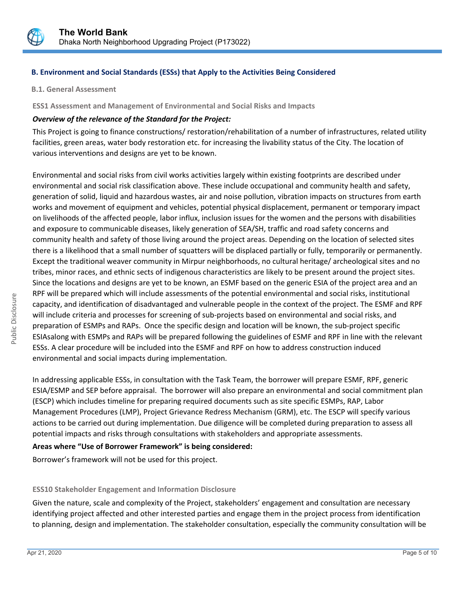

# **B. Environment and Social Standards (ESSs) that Apply to the Activities Being Considered**

**B.1. General Assessment**

**ESS1 Assessment and Management of Environmental and Social Risks and Impacts**

# *Overview of the relevance of the Standard for the Project:*

This Project is going to finance constructions/ restoration/rehabilitation of a number of infrastructures, related utility facilities, green areas, water body restoration etc. for increasing the livability status of the City. The location of various interventions and designs are yet to be known.

Environmental and social risks from civil works activities largely within existing footprints are described under environmental and social risk classification above. These include occupational and community health and safety, generation of solid, liquid and hazardous wastes, air and noise pollution, vibration impacts on structures from earth works and movement of equipment and vehicles, potential physical displacement, permanent or temporary impact on livelihoods of the affected people, labor influx, inclusion issues for the women and the persons with disabilities and exposure to communicable diseases, likely generation of SEA/SH, traffic and road safety concerns and community health and safety of those living around the project areas. Depending on the location of selected sites there is a likelihood that a small number of squatters will be displaced partially or fully, temporarily or permanently. Except the traditional weaver community in Mirpur neighborhoods, no cultural heritage/ archeological sites and no tribes, minor races, and ethnic sects of indigenous characteristics are likely to be present around the project sites. Since the locations and designs are yet to be known, an ESMF based on the generic ESIA of the project area and an RPF will be prepared which will include assessments of the potential environmental and social risks, institutional capacity, and identification of disadvantaged and vulnerable people in the context of the project. The ESMF and RPF will include criteria and processes for screening of sub-projects based on environmental and social risks, and preparation of ESMPs and RAPs. Once the specific design and location will be known, the sub-project specific ESIAsalong with ESMPs and RAPs will be prepared following the guidelines of ESMF and RPF in line with the relevant ESSs. A clear procedure will be included into the ESMF and RPF on how to address construction induced environmental and social impacts during implementation.

In addressing applicable ESSs, in consultation with the Task Team, the borrower will prepare ESMF, RPF, generic ESIA/ESMP and SEP before appraisal. The borrower will also prepare an environmental and social commitment plan (ESCP) which includes timeline for preparing required documents such as site specific ESMPs, RAP, Labor Management Procedures (LMP), Project Grievance Redress Mechanism (GRM), etc. The ESCP will specify various actions to be carried out during implementation. Due diligence will be completed during preparation to assess all potential impacts and risks through consultations with stakeholders and appropriate assessments.

# **Areas where "Use of Borrower Framework" is being considered:**

Borrower's framework will not be used for this project.

#### **ESS10 Stakeholder Engagement and Information Disclosure**

Given the nature, scale and complexity of the Project, stakeholders' engagement and consultation are necessary identifying project affected and other interested parties and engage them in the project process from identification to planning, design and implementation. The stakeholder consultation, especially the community consultation will be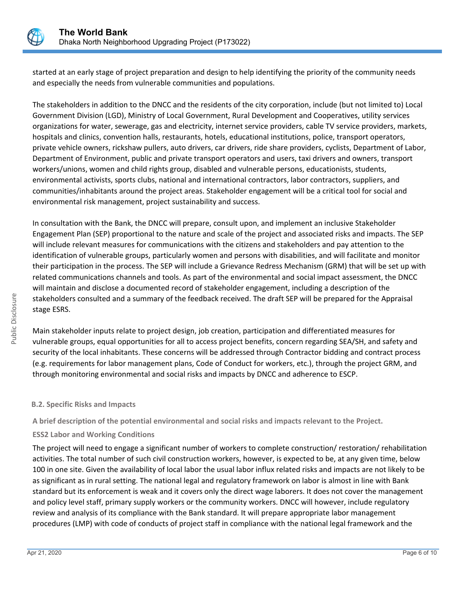

started at an early stage of project preparation and design to help identifying the priority of the community needs and especially the needs from vulnerable communities and populations.

The stakeholders in addition to the DNCC and the residents of the city corporation, include (but not limited to) Local Government Division (LGD), Ministry of Local Government, Rural Development and Cooperatives, utility services organizations for water, sewerage, gas and electricity, internet service providers, cable TV service providers, markets, hospitals and clinics, convention halls, restaurants, hotels, educational institutions, police, transport operators, private vehicle owners, rickshaw pullers, auto drivers, car drivers, ride share providers, cyclists, Department of Labor, Department of Environment, public and private transport operators and users, taxi drivers and owners, transport workers/unions, women and child rights group, disabled and vulnerable persons, educationists, students, environmental activists, sports clubs, national and international contractors, labor contractors, suppliers, and communities/inhabitants around the project areas. Stakeholder engagement will be a critical tool for social and environmental risk management, project sustainability and success.

In consultation with the Bank, the DNCC will prepare, consult upon, and implement an inclusive Stakeholder Engagement Plan (SEP) proportional to the nature and scale of the project and associated risks and impacts. The SEP will include relevant measures for communications with the citizens and stakeholders and pay attention to the identification of vulnerable groups, particularly women and persons with disabilities, and will facilitate and monitor their participation in the process. The SEP will include a Grievance Redress Mechanism (GRM) that will be set up with related communications channels and tools. As part of the environmental and social impact assessment, the DNCC will maintain and disclose a documented record of stakeholder engagement, including a description of the stakeholders consulted and a summary of the feedback received. The draft SEP will be prepared for the Appraisal stage ESRS.

Main stakeholder inputs relate to project design, job creation, participation and differentiated measures for vulnerable groups, equal opportunities for all to access project benefits, concern regarding SEA/SH, and safety and security of the local inhabitants. These concerns will be addressed through Contractor bidding and contract process (e.g. requirements for labor management plans, Code of Conduct for workers, etc.), through the project GRM, and through monitoring environmental and social risks and impacts by DNCC and adherence to ESCP.

# **B.2. Specific Risks and Impacts**

**A brief description of the potential environmental and social risks and impacts relevant to the Project.**

# **ESS2 Labor and Working Conditions**

The project will need to engage a significant number of workers to complete construction/ restoration/ rehabilitation activities. The total number of such civil construction workers, however, is expected to be, at any given time, below 100 in one site. Given the availability of local labor the usual labor influx related risks and impacts are not likely to be as significant as in rural setting. The national legal and regulatory framework on labor is almost in line with Bank standard but its enforcement is weak and it covers only the direct wage laborers. It does not cover the management and policy level staff, primary supply workers or the community workers. DNCC will however, include regulatory review and analysis of its compliance with the Bank standard. It will prepare appropriate labor management procedures (LMP) with code of conducts of project staff in compliance with the national legal framework and the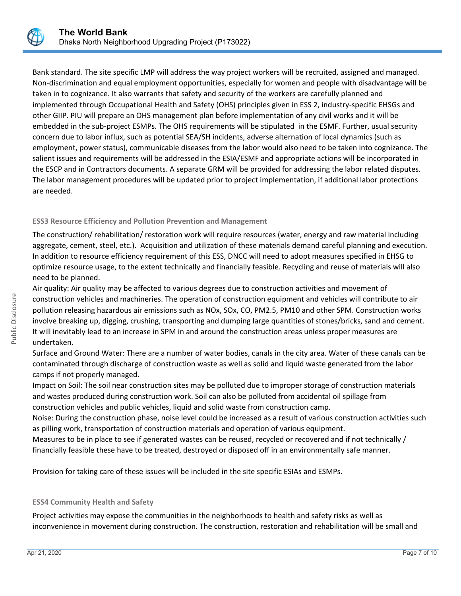

Bank standard. The site specific LMP will address the way project workers will be recruited, assigned and managed. Non-discrimination and equal employment opportunities, especially for women and people with disadvantage will be taken in to cognizance. It also warrants that safety and security of the workers are carefully planned and implemented through Occupational Health and Safety (OHS) principles given in ESS 2, industry-specific EHSGs and other GIIP. PIU will prepare an OHS management plan before implementation of any civil works and it will be embedded in the sub-project ESMPs. The OHS requirements will be stipulated in the ESMF. Further, usual security concern due to labor influx, such as potential SEA/SH incidents, adverse alternation of local dynamics (such as employment, power status), communicable diseases from the labor would also need to be taken into cognizance. The salient issues and requirements will be addressed in the ESIA/ESMF and appropriate actions will be incorporated in the ESCP and in Contractors documents. A separate GRM will be provided for addressing the labor related disputes. The labor management procedures will be updated prior to project implementation, if additional labor protections are needed.

# **ESS3 Resource Efficiency and Pollution Prevention and Management**

The construction/ rehabilitation/ restoration work will require resources (water, energy and raw material including aggregate, cement, steel, etc.). Acquisition and utilization of these materials demand careful planning and execution. In addition to resource efficiency requirement of this ESS, DNCC will need to adopt measures specified in EHSG to optimize resource usage, to the extent technically and financially feasible. Recycling and reuse of materials will also need to be planned.

Air quality: Air quality may be affected to various degrees due to construction activities and movement of construction vehicles and machineries. The operation of construction equipment and vehicles will contribute to air pollution releasing hazardous air emissions such as NOx, SOx, CO, PM2.5, PM10 and other SPM. Construction works involve breaking up, digging, crushing, transporting and dumping large quantities of stones/bricks, sand and cement. It will inevitably lead to an increase in SPM in and around the construction areas unless proper measures are undertaken.

Surface and Ground Water: There are a number of water bodies, canals in the city area. Water of these canals can be contaminated through discharge of construction waste as well as solid and liquid waste generated from the labor camps if not properly managed.

Impact on Soil: The soil near construction sites may be polluted due to improper storage of construction materials and wastes produced during construction work. Soil can also be polluted from accidental oil spillage from construction vehicles and public vehicles, liquid and solid waste from construction camp.

Noise: During the construction phase, noise level could be increased as a result of various construction activities such as pilling work, transportation of construction materials and operation of various equipment.

Measures to be in place to see if generated wastes can be reused, recycled or recovered and if not technically / financially feasible these have to be treated, destroyed or disposed off in an environmentally safe manner.

Provision for taking care of these issues will be included in the site specific ESIAs and ESMPs.

#### **ESS4 Community Health and Safety**

Project activities may expose the communities in the neighborhoods to health and safety risks as well as inconvenience in movement during construction. The construction, restoration and rehabilitation will be small and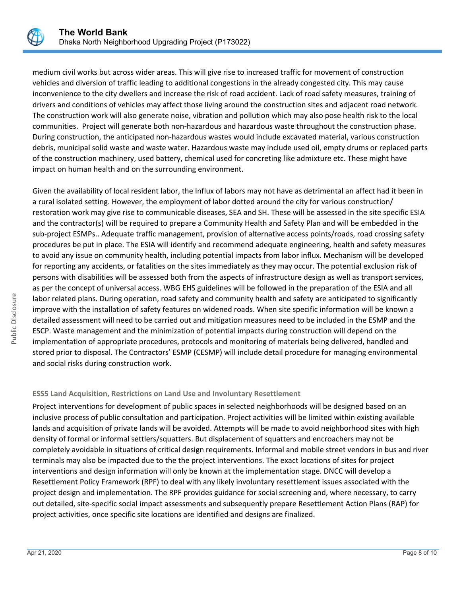

medium civil works but across wider areas. This will give rise to increased traffic for movement of construction vehicles and diversion of traffic leading to additional congestions in the already congested city. This may cause inconvenience to the city dwellers and increase the risk of road accident. Lack of road safety measures, training of drivers and conditions of vehicles may affect those living around the construction sites and adjacent road network. The construction work will also generate noise, vibration and pollution which may also pose health risk to the local communities. Project will generate both non-hazardous and hazardous waste throughout the construction phase. During construction, the anticipated non-hazardous wastes would include excavated material, various construction debris, municipal solid waste and waste water. Hazardous waste may include used oil, empty drums or replaced parts of the construction machinery, used battery, chemical used for concreting like admixture etc. These might have impact on human health and on the surrounding environment.

Given the availability of local resident labor, the Influx of labors may not have as detrimental an affect had it been in a rural isolated setting. However, the employment of labor dotted around the city for various construction/ restoration work may give rise to communicable diseases, SEA and SH. These will be assessed in the site specific ESIA and the contractor(s) will be required to prepare a Community Health and Safety Plan and will be embedded in the sub-project ESMPs.. Adequate traffic management, provision of alternative access points/roads, road crossing safety procedures be put in place. The ESIA will identify and recommend adequate engineering, health and safety measures to avoid any issue on community health, including potential impacts from labor influx. Mechanism will be developed for reporting any accidents, or fatalities on the sites immediately as they may occur. The potential exclusion risk of persons with disabilities will be assessed both from the aspects of infrastructure design as well as transport services, as per the concept of universal access. WBG EHS guidelines will be followed in the preparation of the ESIA and all labor related plans. During operation, road safety and community health and safety are anticipated to significantly improve with the installation of safety features on widened roads. When site specific information will be known a detailed assessment will need to be carried out and mitigation measures need to be included in the ESMP and the ESCP. Waste management and the minimization of potential impacts during construction will depend on the implementation of appropriate procedures, protocols and monitoring of materials being delivered, handled and stored prior to disposal. The Contractors' ESMP (CESMP) will include detail procedure for managing environmental and social risks during construction work.

#### **ESS5 Land Acquisition, Restrictions on Land Use and Involuntary Resettlement**

Project interventions for development of public spaces in selected neighborhoods will be designed based on an inclusive process of public consultation and participation. Project activities will be limited within existing available lands and acquisition of private lands will be avoided. Attempts will be made to avoid neighborhood sites with high density of formal or informal settlers/squatters. But displacement of squatters and encroachers may not be completely avoidable in situations of critical design requirements. Informal and mobile street vendors in bus and river terminals may also be impacted due to the the project interventions. The exact locations of sites for project interventions and design information will only be known at the implementation stage. DNCC will develop a Resettlement Policy Framework (RPF) to deal with any likely involuntary resettlement issues associated with the project design and implementation. The RPF provides guidance for social screening and, where necessary, to carry out detailed, site-specific social impact assessments and subsequently prepare Resettlement Action Plans (RAP) for project activities, once specific site locations are identified and designs are finalized.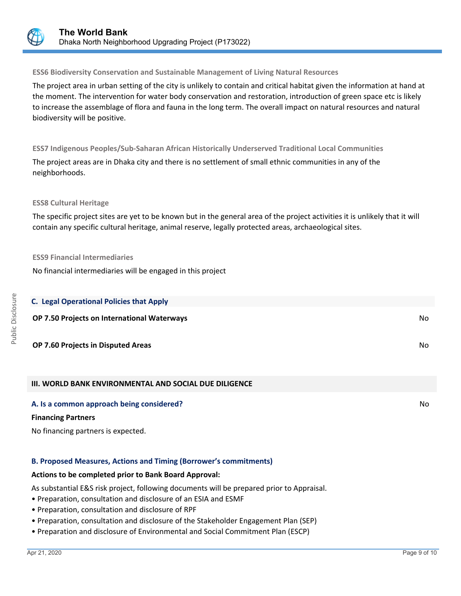

#### **ESS6 Biodiversity Conservation and Sustainable Management of Living Natural Resources**

The project area in urban setting of the city is unlikely to contain and critical habitat given the information at hand at the moment. The intervention for water body conservation and restoration, introduction of green space etc is likely to increase the assemblage of flora and fauna in the long term. The overall impact on natural resources and natural biodiversity will be positive.

#### **ESS7 Indigenous Peoples/Sub-Saharan African Historically Underserved Traditional Local Communities**

The project areas are in Dhaka city and there is no settlement of small ethnic communities in any of the neighborhoods.

#### **ESS8 Cultural Heritage**

The specific project sites are yet to be known but in the general area of the project activities it is unlikely that it will contain any specific cultural heritage, animal reserve, legally protected areas, archaeological sites.

#### **ESS9 Financial Intermediaries**

No financial intermediaries will be engaged in this project

| <b>C. Legal Operational Policies that Apply</b>               |     |
|---------------------------------------------------------------|-----|
| OP 7.50 Projects on International Waterways                   | No. |
| OP 7.60 Projects in Disputed Areas                            | No. |
| <b>III. WORLD BANK ENVIRONMENTAL AND SOCIAL DUE DILIGENCE</b> |     |

#### **A. Is a common approach being considered?** Note that the set of the set of the set of the set of the set of the set of the set of the set of the set of the set of the set of the set of the set of the set of the set of the

#### **Financing Partners**

No financing partners is expected.

#### **B. Proposed Measures, Actions and Timing (Borrower's commitments)**

#### **Actions to be completed prior to Bank Board Approval:**

As substantial E&S risk project, following documents will be prepared prior to Appraisal.

- Preparation, consultation and disclosure of an ESIA and ESMF
- Preparation, consultation and disclosure of RPF
- Preparation, consultation and disclosure of the Stakeholder Engagement Plan (SEP)
- Preparation and disclosure of Environmental and Social Commitment Plan (ESCP)